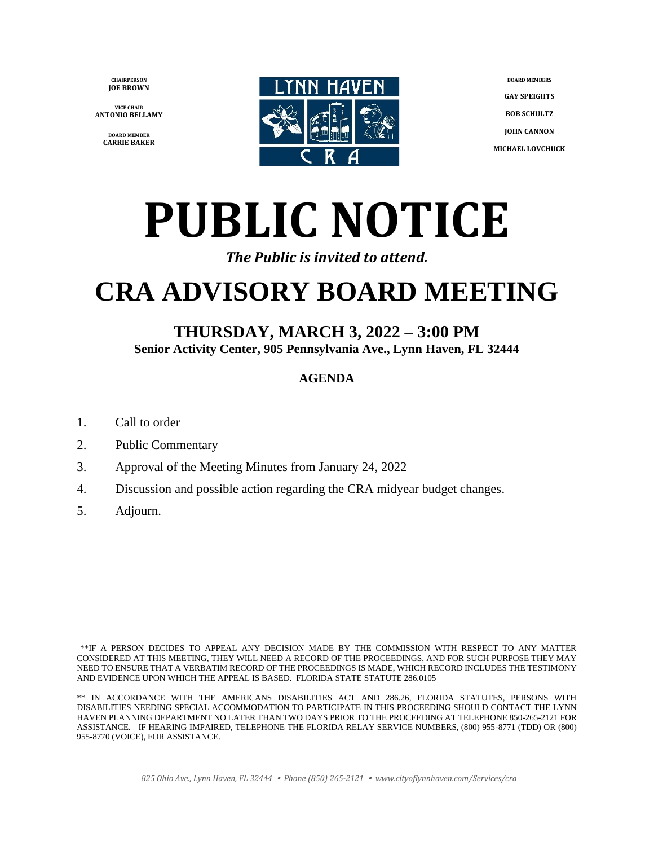**CHAIRPERSON JOE BROWN**

**VICE CHAIR ANTONIO BELLAMY**

> **BOARD MEMBER CARRIE BAKER**



**BOARD MEMBERS GAY SPEIGHTS BOB SCHULTZ JOHN CANNON MICHAEL LOVCHUCK**

# **PUBLIC NOTICE**

#### *The Public is invited to attend.*

# **CRA ADVISORY BOARD MEETING**

### **THURSDAY, MARCH 3, 2022 – 3:00 PM**

**Senior Activity Center, 905 Pennsylvania Ave., Lynn Haven, FL 32444**

#### **AGENDA**

- 1. Call to order
- 2. Public Commentary
- 3. Approval of the Meeting Minutes from January 24, 2022
- 4. Discussion and possible action regarding the CRA midyear budget changes.
- 5. Adjourn.

\*\*IF A PERSON DECIDES TO APPEAL ANY DECISION MADE BY THE COMMISSION WITH RESPECT TO ANY MATTER CONSIDERED AT THIS MEETING, THEY WILL NEED A RECORD OF THE PROCEEDINGS, AND FOR SUCH PURPOSE THEY MAY NEED TO ENSURE THAT A VERBATIM RECORD OF THE PROCEEDINGS IS MADE, WHICH RECORD INCLUDES THE TESTIMONY AND EVIDENCE UPON WHICH THE APPEAL IS BASED. FLORIDA STATE STATUTE 286.0105

\*\* IN ACCORDANCE WITH THE AMERICANS DISABILITIES ACT AND 286.26, FLORIDA STATUTES, PERSONS WITH DISABILITIES NEEDING SPECIAL ACCOMMODATION TO PARTICIPATE IN THIS PROCEEDING SHOULD CONTACT THE LYNN HAVEN PLANNING DEPARTMENT NO LATER THAN TWO DAYS PRIOR TO THE PROCEEDING AT TELEPHONE 850-265-2121 FOR ASSISTANCE. IF HEARING IMPAIRED, TELEPHONE THE FLORIDA RELAY SERVICE NUMBERS, (800) 955-8771 (TDD) OR (800) 955-8770 (VOICE), FOR ASSISTANCE.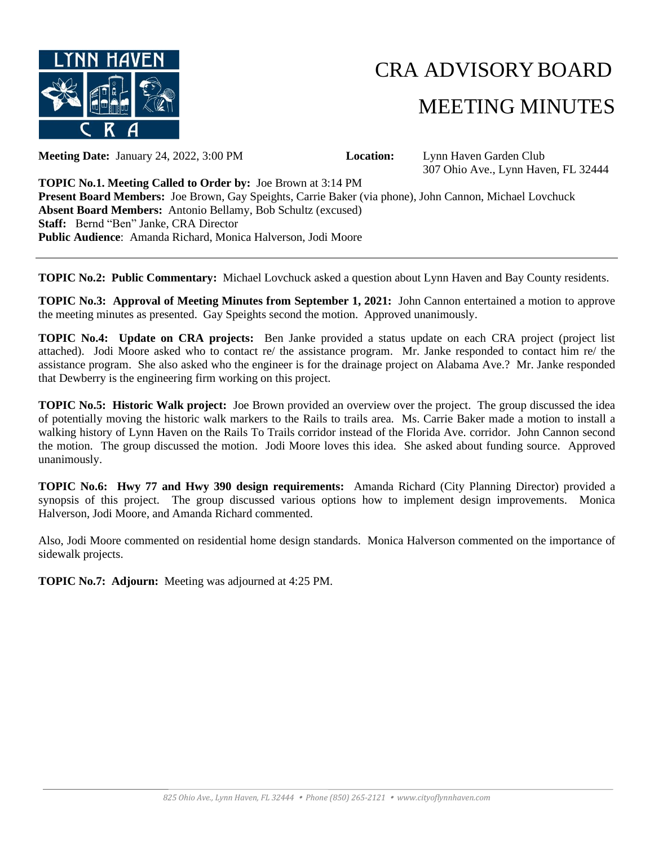

## CRA ADVISORYBOARD MEETING MINUTES

**Meeting Date:** January 24, 2022, 3:00 PM **Location:** Lynn Haven Garden Club

307 Ohio Ave., Lynn Haven, FL 32444

**TOPIC No.1. Meeting Called to Order by:** Joe Brown at 3:14 PM **Present Board Members:** Joe Brown, Gay Speights, Carrie Baker (via phone), John Cannon, Michael Lovchuck **Absent Board Members:** Antonio Bellamy, Bob Schultz (excused) **Staff:** Bernd "Ben" Janke, CRA Director **Public Audience**: Amanda Richard, Monica Halverson, Jodi Moore

**TOPIC No.2: Public Commentary:** Michael Lovchuck asked a question about Lynn Haven and Bay County residents.

**TOPIC No.3: Approval of Meeting Minutes from September 1, 2021:** John Cannon entertained a motion to approve the meeting minutes as presented. Gay Speights second the motion. Approved unanimously.

**TOPIC No.4: Update on CRA projects:** Ben Janke provided a status update on each CRA project (project list attached). Jodi Moore asked who to contact re/ the assistance program. Mr. Janke responded to contact him re/ the assistance program. She also asked who the engineer is for the drainage project on Alabama Ave.? Mr. Janke responded that Dewberry is the engineering firm working on this project.

**TOPIC No.5: Historic Walk project:** Joe Brown provided an overview over the project. The group discussed the idea of potentially moving the historic walk markers to the Rails to trails area. Ms. Carrie Baker made a motion to install a walking history of Lynn Haven on the Rails To Trails corridor instead of the Florida Ave. corridor. John Cannon second the motion. The group discussed the motion. Jodi Moore loves this idea. She asked about funding source. Approved unanimously.

**TOPIC No.6: Hwy 77 and Hwy 390 design requirements:** Amanda Richard (City Planning Director) provided a synopsis of this project. The group discussed various options how to implement design improvements. Monica Halverson, Jodi Moore, and Amanda Richard commented.

Also, Jodi Moore commented on residential home design standards. Monica Halverson commented on the importance of sidewalk projects.

**TOPIC No.7: Adjourn:** Meeting was adjourned at 4:25 PM.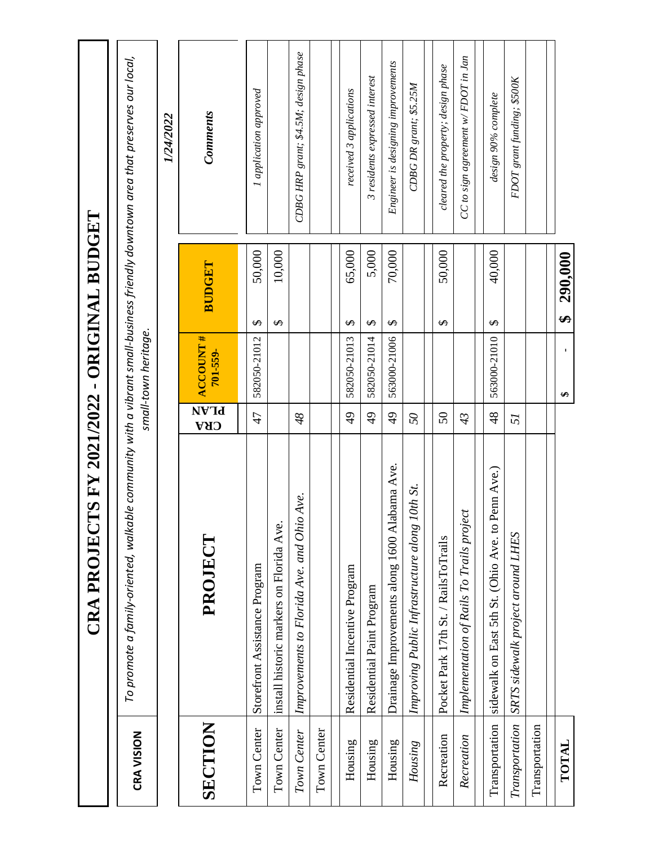|                   | IS FY 2021/2022 - ORIGINAL BUDGET<br><b>CRAPROJECT</b>                                                                          |                    |                              |                                  |                                         |
|-------------------|---------------------------------------------------------------------------------------------------------------------------------|--------------------|------------------------------|----------------------------------|-----------------------------------------|
| <b>CRA VISION</b> | To promote a family-oriented, walkable community with a vibrant small-business friendly downtown area that preserves our local, |                    | small-town heritage.         |                                  |                                         |
|                   |                                                                                                                                 |                    |                              |                                  | 1/24/2022                               |
| SECTION           | PROJECT                                                                                                                         | NVId<br><b>CRA</b> | <b>ACCOUNT #</b><br>701-559- | BUDGET                           | Comments                                |
| Town Center       | Storefront Assistance Program                                                                                                   | $\overline{4}$     | 582050-21012                 | 50,000<br>$\boldsymbol{\varphi}$ | I application approved                  |
| Town Center       | install historic markers on Florida Ave.                                                                                        |                    |                              | 10,000<br>$\boldsymbol{\varphi}$ |                                         |
| Town Center       | Ave.<br>Improvements to Florida Ave. and Ohio                                                                                   | 48                 |                              |                                  | CDBG HRP grant; \$4.5M; design phase    |
| Town Center       |                                                                                                                                 |                    |                              |                                  |                                         |
| Housing           | Residential Incentive Program                                                                                                   | $\overline{6}$     | 582050-21013                 | 65,000<br>$\Theta$               | received 3 applications                 |
| Housing           | Residential Paint Program                                                                                                       | $\frac{4}{9}$      | 582050-21014                 | 5,000<br>$\Theta$                | 3 residents expressed interest          |
| Housing           | Drainage Improvements along 1600 Alabama Ave.                                                                                   | $\overline{6}$     | 563000-21006                 | 70,000<br>$\Theta$               | Engineer is designing improvements      |
| Housing           | 10th St.<br>Improving Public Infrastructure along                                                                               | $\mathcal{S}$      |                              |                                  | CDBG DR grant; \$5.25M                  |
| Recreation        | Pocket Park 17th St. / RailsToTrails                                                                                            | $50\,$             |                              | 50,000<br>$\boldsymbol{\varphi}$ | cleared the property; design phase      |
| Recreation        | Implementation of Rails To Trails project                                                                                       | 43                 |                              |                                  | $CC$ to sign agreement w/ $FDOT$ in Jan |
| Transportation    | Penn Ave.)<br>sidewalk on East 5th St. (Ohio Ave. to 1                                                                          | 48                 | 563000-21010                 | 40,000<br>$\boldsymbol{\varphi}$ | design 90% complete                     |
| Transportation    | SRTS sidewalk project around LHES                                                                                               | 51                 |                              |                                  | FDOT grant funding; \$500K              |
| Transportation    |                                                                                                                                 |                    |                              |                                  |                                         |
| TOTAL             |                                                                                                                                 |                    | $\blacksquare$<br>↮          | 290,000<br>$\bullet$             |                                         |